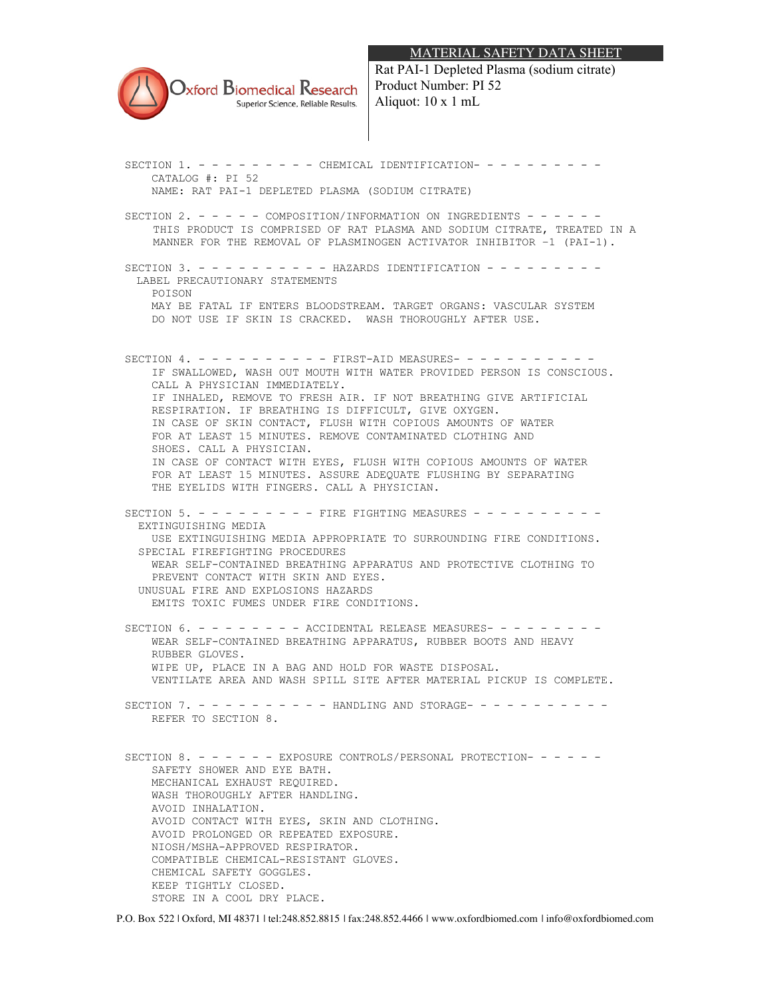## MATERIAL SAFETY DATA SHEET



Rat PAI-1 Depleted Plasma (sodium citrate) Product Number: PI 52 Aliquot: 10 x 1 mL

SECTION 1. - - - - - - - - - CHEMICAL IDENTIFICATION- - - - - - - - - - CATALOG #: PI 52 NAME: RAT PAI-1 DEPLETED PLASMA (SODIUM CITRATE) SECTION 2. - - - - - COMPOSITION/INFORMATION ON INGREDIENTS - - - - - -THIS PRODUCT IS COMPRISED OF RAT PLASMA AND SODIUM CITRATE, TREATED IN A MANNER FOR THE REMOVAL OF PLASMINOGEN ACTIVATOR INHIBITOR –1 (PAI-1). SECTION 3  $- - - - - - - -$  HAZARDS IDENTIFICATION  $- - - - - - -$ LABEL PRECAUTIONARY STATEMENTS POISON MAY BE FATAL IF ENTERS BLOODSTREAM. TARGET ORGANS: VASCULAR SYSTEM DO NOT USE IF SKIN IS CRACKED. WASH THOROUGHLY AFTER USE. SECTION 4. - - - - - - - - - - FIRST-AID MEASURES- - - - - - IF SWALLOWED, WASH OUT MOUTH WITH WATER PROVIDED PERSON IS CONSCIOUS. CALL A PHYSICIAN IMMEDIATELY. IF INHALED, REMOVE TO FRESH AIR. IF NOT BREATHING GIVE ARTIFICIAL RESPIRATION. IF BREATHING IS DIFFICULT, GIVE OXYGEN. IN CASE OF SKIN CONTACT, FLUSH WITH COPIOUS AMOUNTS OF WATER FOR AT LEAST 15 MINUTES. REMOVE CONTAMINATED CLOTHING AND SHOES. CALL A PHYSICIAN. IN CASE OF CONTACT WITH EYES, FLUSH WITH COPIOUS AMOUNTS OF WATER FOR AT LEAST 15 MINUTES. ASSURE ADEQUATE FLUSHING BY SEPARATING THE EYELIDS WITH FINGERS. CALL A PHYSICIAN. SECTION 5. - - - - - - - - - FIRE FIGHTING MEASURES - - - - - - - - - - EXTINGUISHING MEDIA USE EXTINGUISHING MEDIA APPROPRIATE TO SURROUNDING FIRE CONDITIONS. SPECIAL FIREFIGHTING PROCEDURES WEAR SELF-CONTAINED BREATHING APPARATUS AND PROTECTIVE CLOTHING TO PREVENT CONTACT WITH SKIN AND EYES. UNUSUAL FIRE AND EXPLOSIONS HAZARDS EMITS TOXIC FUMES UNDER FIRE CONDITIONS. SECTION  $6. - - - - - - -$  ACCIDENTAL RELEASE MEASURES------ WEAR SELF-CONTAINED BREATHING APPARATUS, RUBBER BOOTS AND HEAVY RUBBER GLOVES. WIPE UP, PLACE IN A BAG AND HOLD FOR WASTE DISPOSAL. VENTILATE AREA AND WASH SPILL SITE AFTER MATERIAL PICKUP IS COMPLETE. SECTION 7. - - - - - - - - - HANDLING AND STORAGE- - - - - - - - - - - REFER TO SECTION 8. SECTION 8. - - - - - - EXPOSURE CONTROLS/PERSONAL PROTECTION- - - - - - SAFETY SHOWER AND EYE BATH. MECHANICAL EXHAUST REQUIRED. WASH THOROUGHLY AFTER HANDLING. AVOID INHALATION. AVOID CONTACT WITH EYES, SKIN AND CLOTHING. AVOID PROLONGED OR REPEATED EXPOSURE. NIOSH/MSHA-APPROVED RESPIRATOR. COMPATIBLE CHEMICAL-RESISTANT GLOVES. CHEMICAL SAFETY GOGGLES. KEEP TIGHTLY CLOSED. STORE IN A COOL DRY PLACE.

P.O. Box 522 | Oxford, MI 48371 | tel:248.852.8815 | fax:248.852.4466 | www.oxfordbiomed.com | info@oxfordbiomed.com